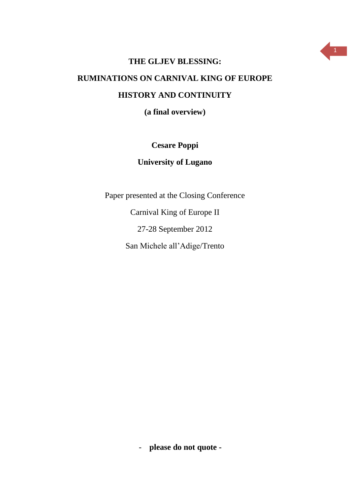

## **THE GLJEV BLESSING: RUMINATIONS ON CARNIVAL KING OF EUROPE HISTORY AND CONTINUITY**

**(a final overview)**

## **Cesare Poppi**

## **University of Lugano**

Paper presented at the Closing Conference

Carnival King of Europe II

27-28 September 2012

San Michele all'Adige/Trento

- **please do not quote -**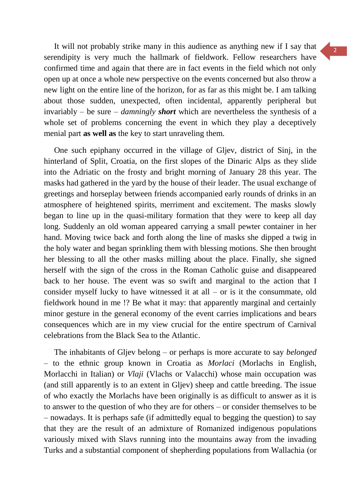It will not probably strike many in this audience as anything new if I say that serendipity is very much the hallmark of fieldwork. Fellow researchers have confirmed time and again that there are in fact events in the field which not only open up at once a whole new perspective on the events concerned but also throw a new light on the entire line of the horizon, for as far as this might be. I am talking about those sudden, unexpected, often incidental, apparently peripheral but invariably – be sure – *damningly short* which are nevertheless the synthesis of a whole set of problems concerning the event in which they play a deceptively menial part **as well as** the key to start unraveling them.

One such epiphany occurred in the village of Gljev, district of Sinj, in the hinterland of Split, Croatia, on the first slopes of the Dinaric Alps as they slide into the Adriatic on the frosty and bright morning of January 28 this year. The masks had gathered in the yard by the house of their leader. The usual exchange of greetings and horseplay between friends accompanied early rounds of drinks in an atmosphere of heightened spirits, merriment and excitement. The masks slowly began to line up in the quasi-military formation that they were to keep all day long. Suddenly an old woman appeared carrying a small pewter container in her hand. Moving twice back and forth along the line of masks she dipped a twig in the holy water and began sprinkling them with blessing motions. She then brought her blessing to all the other masks milling about the place. Finally, she signed herself with the sign of the cross in the Roman Catholic guise and disappeared back to her house. The event was so swift and marginal to the action that I consider myself lucky to have witnessed it at all  $-$  or is it the consummate, old fieldwork hound in me !? Be what it may: that apparently marginal and certainly minor gesture in the general economy of the event carries implications and bears consequences which are in my view crucial for the entire spectrum of Carnival celebrations from the Black Sea to the Atlantic.

The inhabitants of Gljev belong – or perhaps is more accurate to say *belonged* – to the ethnic group known in Croatia as *Morlaci* (Morlachs in English, Morlacchi in Italian) or *Vlaji* (Vlachs or Valacchi) whose main occupation was (and still apparently is to an extent in Gljev) sheep and cattle breeding. The issue of who exactly the Morlachs have been originally is as difficult to answer as it is to answer to the question of who they are for others – or consider themselves to be – nowadays. It is perhaps safe (if admittedly equal to begging the question) to say that they are the result of an admixture of Romanized indigenous populations variously mixed with Slavs running into the mountains away from the invading Turks and a substantial component of shepherding populations from Wallachia (or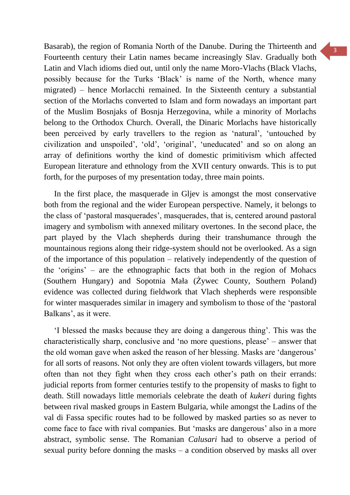Basarab), the region of Romania North of the Danube. During the Thirteenth and Fourteenth century their Latin names became increasingly Slav. Gradually both Latin and Vlach idioms died out, until only the name Moro-Vlachs (Black Vlachs, possibly because for the Turks 'Black' is name of the North, whence many migrated) – hence Morlacchi remained. In the Sixteenth century a substantial section of the Morlachs converted to Islam and form nowadays an important part of the Muslim Bosnjaks of Bosnja Herzegovina, while a minority of Morlachs belong to the Orthodox Church. Overall, the Dinaric Morlachs have historically been perceived by early travellers to the region as 'natural', 'untouched by civilization and unspoiled', 'old', 'original', 'uneducated' and so on along an array of definitions worthy the kind of domestic primitivism which affected European literature and ethnology from the XVII century onwards. This is to put forth, for the purposes of my presentation today, three main points.

In the first place, the masquerade in Gljev is amongst the most conservative both from the regional and the wider European perspective. Namely, it belongs to the class of 'pastoral masquerades', masquerades, that is, centered around pastoral imagery and symbolism with annexed military overtones. In the second place, the part played by the Vlach shepherds during their transhumance through the mountainous regions along their ridge-system should not be overlooked. As a sign of the importance of this population – relatively independently of the question of the 'origins' – are the ethnographic facts that both in the region of Mohacs (Southern Hungary) and Sopotnia Mała (Żywec County, Southern Poland) evidence was collected during fieldwork that Vlach shepherds were responsible for winter masquerades similar in imagery and symbolism to those of the 'pastoral Balkans', as it were.

'I blessed the masks because they are doing a dangerous thing'. This was the characteristically sharp, conclusive and 'no more questions, please' – answer that the old woman gave when asked the reason of her blessing. Masks are 'dangerous' for all sorts of reasons. Not only they are often violent towards villagers, but more often than not they fight when they cross each other's path on their errands: judicial reports from former centuries testify to the propensity of masks to fight to death. Still nowadays little memorials celebrate the death of *kukeri* during fights between rival masked groups in Eastern Bulgaria, while amongst the Ladins of the val di Fassa specific routes had to be followed by masked parties so as never to come face to face with rival companies. But 'masks are dangerous' also in a more abstract, symbolic sense. The Romanian *Calusari* had to observe a period of sexual purity before donning the masks – a condition observed by masks all over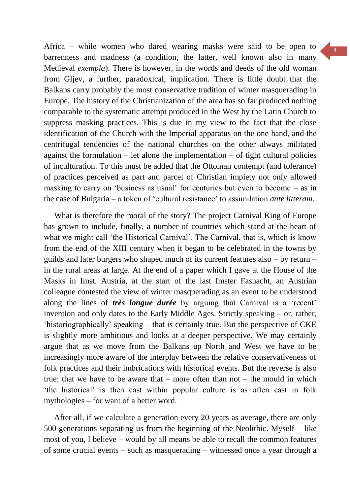Africa – while women who dared wearing masks were said to be open to barrenness and madness (a condition, the latter, well known also in many Medieval *exempla*). There is however, in the words and deeds of the old woman from Gljev, a further, paradoxical, implication. There is little doubt that the Balkans carry probably the most conservative tradition of winter masquerading in Europe. The history of the Christianization of the area has so far produced nothing comparable to the systematic attempt produced in the West by the Latin Church to suppress masking practices. This is due in my view to the fact that the close identification of the Church with the Imperial apparatus on the one hand, and the centrifugal tendencies of the national churches on the other always militated against the formulation  $-$  let alone the implementation  $-$  of tight cultural policies of inculturation. To this must be added that the Ottoman contempt (and tolerance) of practices perceived as part and parcel of Christian impiety not only allowed masking to carry on 'business as usual' for centuries but even to become – as in the case of Bulgaria – a token of 'cultural resistance' to assimilation *ante litteram*.

What is therefore the moral of the story? The project Carnival King of Europe has grown to include, finally, a number of countries which stand at the heart of what we might call 'the Historical Carnival'. The Carnival, that is, which is know from the end of the XIII century when it began to be celebrated in the towns by guilds and later burgers who shaped much of its current features also – by return – in the rural areas at large. At the end of a paper which I gave at the House of the Masks in Imst. Austria, at the start of the last Imster Fasnacht, an Austrian colleague contested the view of winter masquerading as an event to be understood along the lines of *très longue durée* by arguing that Carnival is a 'recent' invention and only dates to the Early Middle Ages. Strictly speaking – or, rather, 'historiographically' speaking – that is certainly true. But the perspective of CKE is slightly more ambitious and looks at a deeper perspective. We may certainly argue that as we move from the Balkans up North and West we have to be increasingly more aware of the interplay between the relative conservativeness of folk practices and their imbrications with historical events. But the reverse is also true: that we have to be aware that – more often than not – the mould in which 'the historical' is then cast within popular culture is as often cast in folk mythologies – for want of a better word.

After all, if we calculate a generation every 20 years as average, there are only 500 generations separating us from the beginning of the Neolithic. Myself – like most of you, I believe – would by all means be able to recall the common features of some crucial events – such as masquerading – witnessed once a year through a